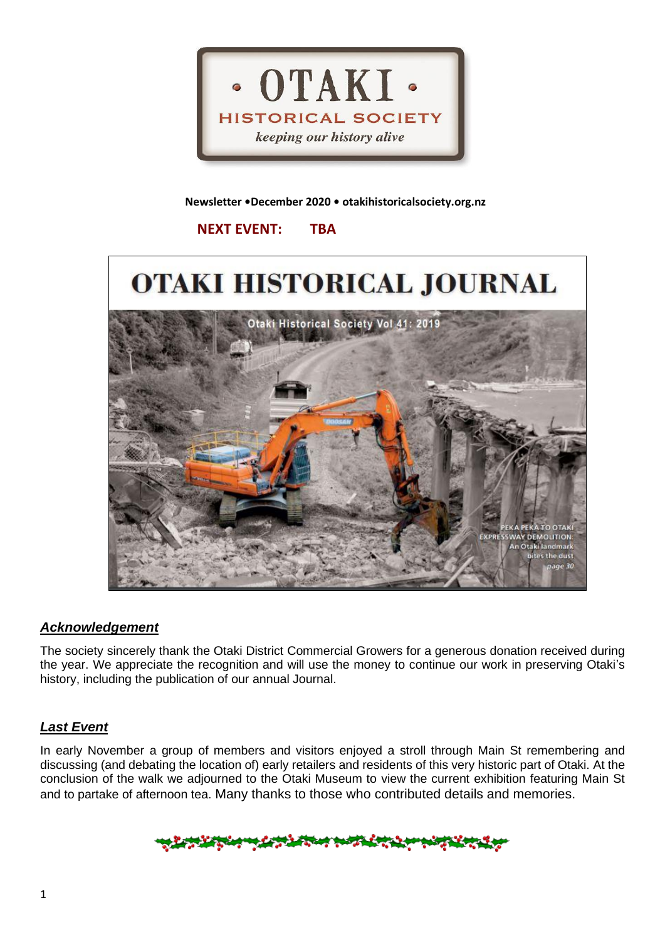

### **Newsletter •December 2020 • otakihistoricalsociety.org.nz**

# **NEXT EVENT: TBA**



## *Acknowledgement*

The society sincerely thank the Otaki District Commercial Growers for a generous donation received during the year. We appreciate the recognition and will use the money to continue our work in preserving Otaki's history, including the publication of our annual Journal.

# *Last Event*

In early November a group of members and visitors enjoyed a stroll through Main St remembering and discussing (and debating the location of) early retailers and residents of this very historic part of Otaki. At the conclusion of the walk we adjourned to the Otaki Museum to view the current exhibition featuring Main St and to partake of afternoon tea. Many thanks to those who contributed details and memories.

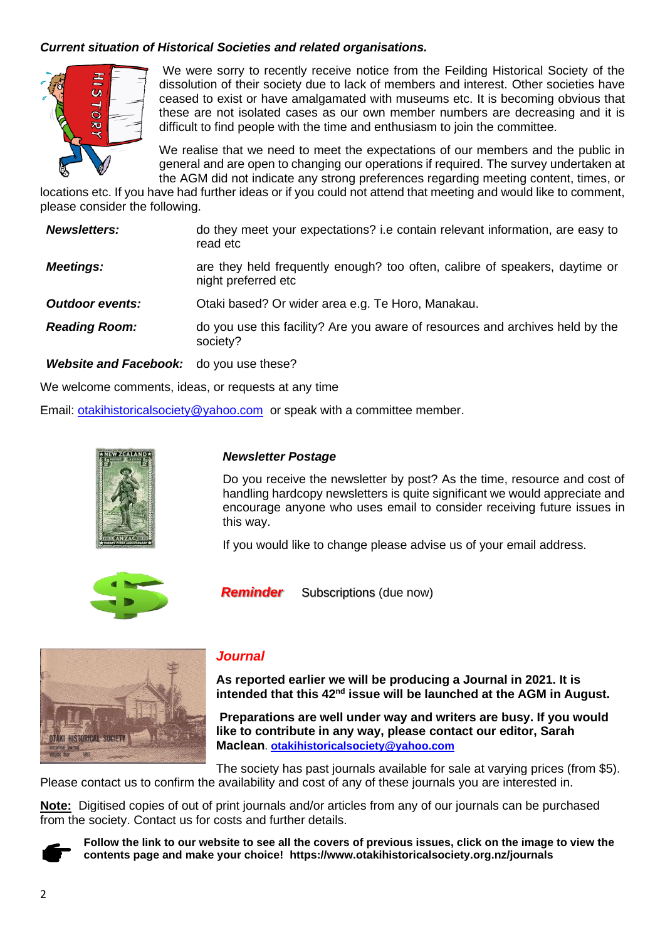## *Current situation of Historical Societies and related organisations.*



We were sorry to recently receive notice from the Feilding Historical Society of the dissolution of their society due to lack of members and interest. Other societies have ceased to exist or have amalgamated with museums etc. It is becoming obvious that these are not isolated cases as our own member numbers are decreasing and it is difficult to find people with the time and enthusiasm to join the committee.

We realise that we need to meet the expectations of our members and the public in general and are open to changing our operations if required. The survey undertaken at the AGM did not indicate any strong preferences regarding meeting content, times, or

locations etc. If you have had further ideas or if you could not attend that meeting and would like to comment, please consider the following.

| <b>Newsletters:</b>                            | do they meet your expectations? i.e contain relevant information, are easy to<br>read etc          |
|------------------------------------------------|----------------------------------------------------------------------------------------------------|
| <b>Meetings:</b>                               | are they held frequently enough? too often, calibre of speakers, daytime or<br>night preferred etc |
| <b>Outdoor events:</b>                         | Otaki based? Or wider area e.g. Te Horo, Manakau.                                                  |
| <b>Reading Room:</b>                           | do you use this facility? Are you aware of resources and archives held by the<br>society?          |
| <b>Website and Facebook:</b> do you use these? |                                                                                                    |

We welcome comments, ideas, or requests at any time

Email: [otakihistoricalsociety@yahoo.com](mailto:otakihistoricalsociety@yahoo.com) or speak with a committee member.



### *Newsletter Postage*

Do you receive the newsletter by post? As the time, resource and cost of handling hardcopy newsletters is quite significant we would appreciate and encourage anyone who uses email to consider receiving future issues in this way.

If you would like to change please advise us of your email address.



*Reminder* Subscriptions (due now)



### *Journal*

**As reported earlier we will be producing a Journal in 2021. It is intended that this 42nd issue will be launched at the AGM in August.**

**Preparations are well under way and writers are busy. If you would like to contribute in any way, please contact our editor, Sarah Maclean**. **[otakihistoricalsociety@yahoo.com](mailto:otakihistoricalsociety@yahoo.com)**

The society has past journals available for sale at varying prices (from \$5). Please contact us to confirm the availability and cost of any of these journals you are interested in.

**Note:** Digitised copies of out of print journals and/or articles from any of our journals can be purchased from the society. Contact us for costs and further details.



**Follow the link to our website to see all the covers of previous issues, click on the image to view the contents page and make your choice! https://www.otakihistoricalsociety.org.nz/journals**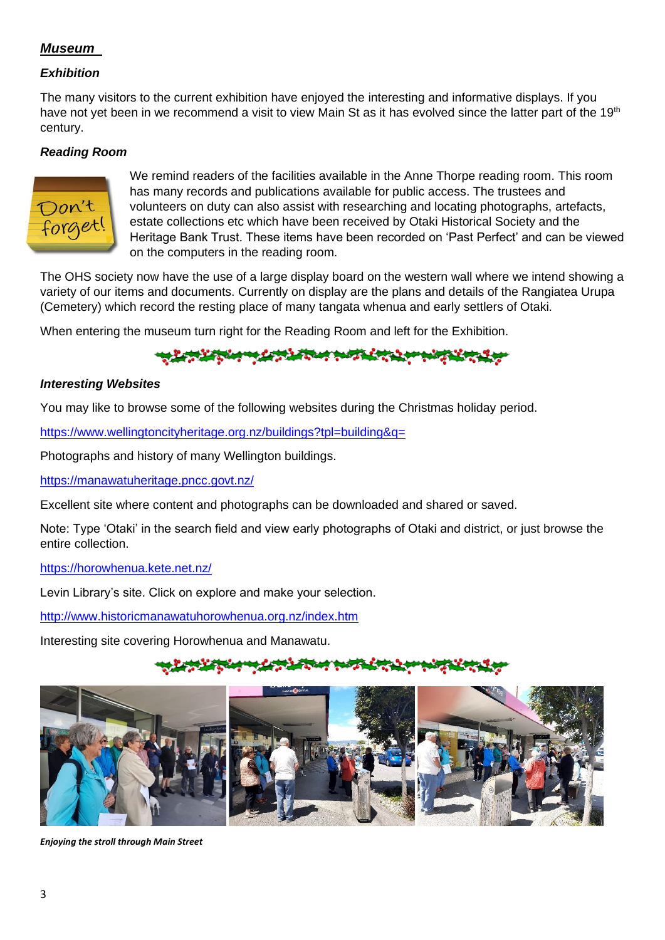# *Museum*

## *Exhibition*

The many visitors to the current exhibition have enjoyed the interesting and informative displays. If you have not yet been in we recommend a visit to view Main St as it has evolved since the latter part of the 19<sup>th</sup> century.

## *Reading Room*



We remind readers of the facilities available in the Anne Thorpe reading room. This room has many records and publications available for public access. The trustees and volunteers on duty can also assist with researching and locating photographs, artefacts, estate collections etc which have been received by Otaki Historical Society and the Heritage Bank Trust. These items have been recorded on 'Past Perfect' and can be viewed on the computers in the reading room.

The OHS society now have the use of a large display board on the western wall where we intend showing a variety of our items and documents. Currently on display are the plans and details of the Rangiatea Urupa (Cemetery) which record the resting place of many tangata whenua and early settlers of Otaki.

When entering the museum turn right for the Reading Room and left for the Exhibition.

## *Interesting Websites*

You may like to browse some of the following websites during the Christmas holiday period.

<https://www.wellingtoncityheritage.org.nz/buildings?tpl=building&q=>

Photographs and history of many Wellington buildings.

<https://manawatuheritage.pncc.govt.nz/>

Excellent site where content and photographs can be downloaded and shared or saved.

Note: Type 'Otaki' in the search field and view early photographs of Otaki and district, or just browse the entire collection.

### <https://horowhenua.kete.net.nz/>

Levin Library's site. Click on explore and make your selection.

<http://www.historicmanawatuhorowhenua.org.nz/index.htm>

Interesting site covering Horowhenua and Manawatu.



*Enjoying the stroll through Main Street*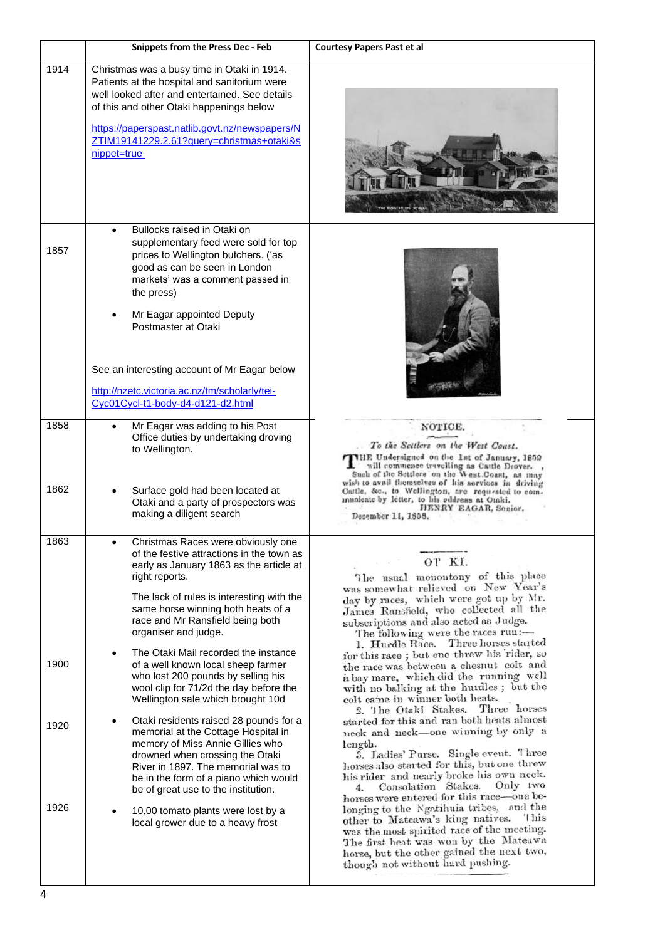|              | <b>Snippets from the Press Dec - Feb</b>                                                                                                                                                                                                                                                                                                                                       | <b>Courtesy Papers Past et al</b>                                                                                                                                                                                                                                                                                                                                                       |  |
|--------------|--------------------------------------------------------------------------------------------------------------------------------------------------------------------------------------------------------------------------------------------------------------------------------------------------------------------------------------------------------------------------------|-----------------------------------------------------------------------------------------------------------------------------------------------------------------------------------------------------------------------------------------------------------------------------------------------------------------------------------------------------------------------------------------|--|
| 1914         | Christmas was a busy time in Otaki in 1914.<br>Patients at the hospital and sanitorium were<br>well looked after and entertained. See details<br>of this and other Otaki happenings below<br>https://paperspast.natlib.govt.nz/newspapers/N<br>ZTIM19141229.2.61?query=christmas+otaki&s<br>nippet=true                                                                        |                                                                                                                                                                                                                                                                                                                                                                                         |  |
| 1857         | Bullocks raised in Otaki on<br>$\bullet$<br>supplementary feed were sold for top<br>prices to Wellington butchers. ('as<br>good as can be seen in London<br>markets' was a comment passed in<br>the press)<br>Mr Eagar appointed Deputy<br>Postmaster at Otaki<br>See an interesting account of Mr Eagar below<br>http://nzetc.victoria.ac.nz/tm/scholarly/tei-                |                                                                                                                                                                                                                                                                                                                                                                                         |  |
|              | Cyc01Cycl-t1-body-d4-d121-d2.html                                                                                                                                                                                                                                                                                                                                              |                                                                                                                                                                                                                                                                                                                                                                                         |  |
| 1858<br>1862 | Mr Eagar was adding to his Post<br>Office duties by undertaking droving<br>to Wellington.<br>Surface gold had been located at                                                                                                                                                                                                                                                  | NOTICE.<br>To the Settlers on the West Coast.<br>THE Undersigned on the 1st of January, 1859<br>will commence travelling as Cattle Drover. ,<br>Such of the Settlers' on the West.Coast, as may<br>wish to avail themselves of his services in driving<br>Cattle, &c., to Wellington, are requested to com-                                                                             |  |
|              | Otaki and a party of prospectors was<br>making a diligent search                                                                                                                                                                                                                                                                                                               | municate by letter, to his address at Otaki.<br>HENRY EAGAR, Senior.<br>December 11, 1858.                                                                                                                                                                                                                                                                                              |  |
| 1863<br>1900 | Christmas Races were obviously one<br>of the festive attractions in the town as<br>early as January 1863 as the article at<br>right reports.<br>The lack of rules is interesting with the<br>same horse winning both heats of a<br>race and Mr Ransfield being both<br>organiser and judge.<br>The Otaki Mail recorded the instance<br>٠<br>of a well known local sheep farmer | OT KI.<br>The usual monontony of this place<br>was somewhat relieved on New Year's<br>day by races, which were got up by Mr.<br>James Ransfield, who collected all the<br>subscriptions and also acted as Judge.<br>The following were the races run:-<br>1. Hurdle Race. Three horses started<br>for this race; but one threw his rider, so<br>the race was between a chesnut colt and |  |
|              | who lost 200 pounds by selling his<br>wool clip for 71/2d the day before the<br>Wellington sale which brought 10d                                                                                                                                                                                                                                                              | a bay mare, which did the running well<br>with no balking at the hurdles; but the<br>colt came in winner both heats.<br>2. The Otaki Stakes. Three horses                                                                                                                                                                                                                               |  |
| 1920         | Otaki residents raised 28 pounds for a<br>memorial at the Cottage Hospital in<br>memory of Miss Annie Gillies who<br>drowned when crossing the Otaki<br>River in 1897. The memorial was to<br>be in the form of a piano which would<br>be of great use to the institution.                                                                                                     | started for this and ran both heats almost<br>neck and neck-one winning by only a<br>length.<br>3. Ladies' Purse. Single event. Three<br>horses also started for this, but one threw<br>his rider and nearly broke his own neck.<br>Only two<br>Consolation Stakes.<br>4.<br>horses were entered for this race-one be-                                                                  |  |
| 1926         | 10,00 tomato plants were lost by a<br>local grower due to a heavy frost                                                                                                                                                                                                                                                                                                        | longing to the Ngatihuia tribes, and the<br>other to Mateawa's king natives. This<br>was the most spirited race of the meeting.<br>The first heat was won by the Mateawa<br>horse, but the other gained the next two,<br>though not without hard pushing.                                                                                                                               |  |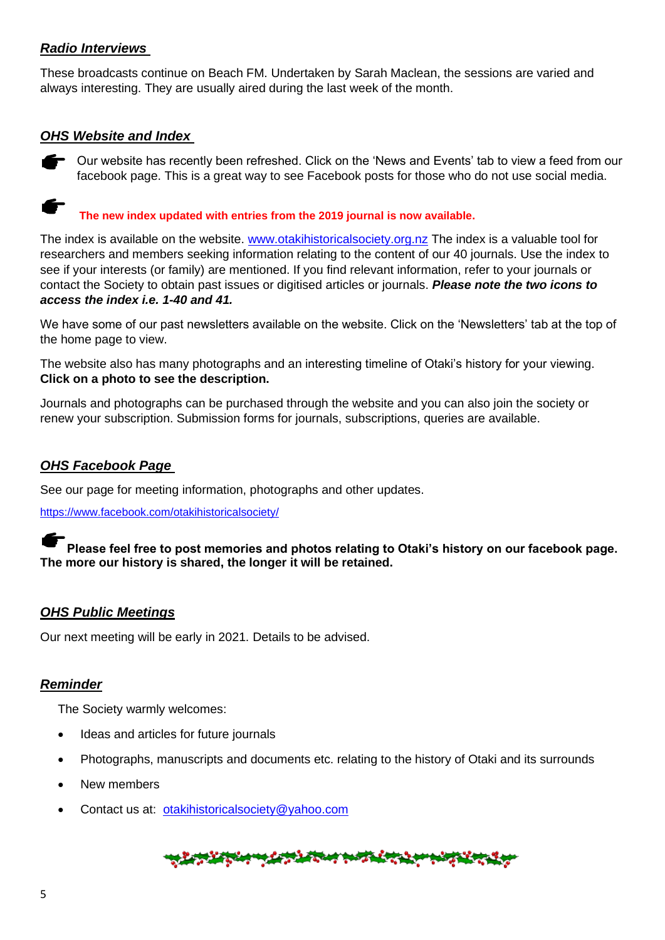# *Radio Interviews*

These broadcasts continue on Beach FM. Undertaken by Sarah Maclean, the sessions are varied and always interesting. They are usually aired during the last week of the month.

## *OHS Website and Index*



Our website has recently been refreshed. Click on the 'News and Events' tab to view a feed from our facebook page. This is a great way to see Facebook posts for those who do not use social media.

**The new index updated with entries from the 2019 journal is now available.**

The index is available on the website. [www.otakihistoricalsociety.org.nz](http://www.otakihistoricalsociety.org.nz/) The index is a valuable tool for researchers and members seeking information relating to the content of our 40 journals. Use the index to see if your interests (or family) are mentioned. If you find relevant information, refer to your journals or contact the Society to obtain past issues or digitised articles or journals. *Please note the two icons to access the index i.e. 1-40 and 41.*

We have some of our past newsletters available on the website. Click on the 'Newsletters' tab at the top of the home page to view.

The website also has many photographs and an interesting timeline of Otaki's history for your viewing. **Click on a photo to see the description.**

Journals and photographs can be purchased through the website and you can also join the society or renew your subscription. Submission forms for journals, subscriptions, queries are available.

# *OHS Facebook Page*

See our page for meeting information, photographs and other updates.

<https://www.facebook.com/otakihistoricalsociety/>

## **Please feel free to post memories and photos relating to Otaki's history on our facebook page. The more our history is shared, the longer it will be retained.**

## *OHS Public Meetings*

Our next meeting will be early in 2021. Details to be advised.

## *Reminder*

The Society warmly welcomes:

- Ideas and articles for future journals
- Photographs, manuscripts and documents etc. relating to the history of Otaki and its surrounds
- New members
- Contact us at: [otakihistoricalsociety@yahoo.com](mailto:otakihistoricalsociety@yahoo.com)

# ウント・マング アイディング・ディング